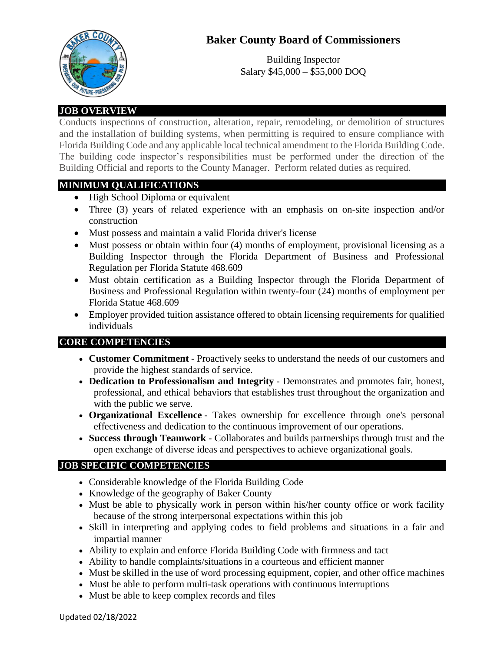# **Baker County Board of Commissioners**



Building Inspector Salary \$45,000 – \$55,000 DOQ

## **JOB OVERVIEW**

Conducts inspections of construction, alteration, repair, remodeling, or demolition of structures and the installation of building systems, when permitting is required to ensure compliance with Florida Building Code and any applicable local technical amendment to the Florida Building Code. The building code inspector's responsibilities must be performed under the direction of the Building Official and reports to the County Manager. Perform related duties as required.

### **MINIMUM QUALIFICATIONS**

- High School Diploma or equivalent
- Three (3) years of related experience with an emphasis on on-site inspection and/or construction
- Must possess and maintain a valid Florida driver's license
- Must possess or obtain within four (4) months of employment, provisional licensing as a Building Inspector through the Florida Department of Business and Professional Regulation per Florida Statute 468.609
- Must obtain certification as a Building Inspector through the Florida Department of Business and Professional Regulation within twenty-four (24) months of employment per Florida Statue 468.609
- Employer provided tuition assistance offered to obtain licensing requirements for qualified individuals

### **CORE COMPETENCIES**

- **Customer Commitment** Proactively seeks to understand the needs of our customers and provide the highest standards of service.
- **Dedication to Professionalism and Integrity** Demonstrates and promotes fair, honest, professional, and ethical behaviors that establishes trust throughout the organization and with the public we serve.
- **Organizational Excellence** Takes ownership for excellence through one's personal effectiveness and dedication to the continuous improvement of our operations.
- **Success through Teamwork** Collaborates and builds partnerships through trust and the open exchange of diverse ideas and perspectives to achieve organizational goals.

### **JOB SPECIFIC COMPETENCIES**

- Considerable knowledge of the Florida Building Code
- Knowledge of the geography of Baker County
- Must be able to physically work in person within his/her county office or work facility because of the strong interpersonal expectations within this job
- Skill in interpreting and applying codes to field problems and situations in a fair and impartial manner
- Ability to explain and enforce Florida Building Code with firmness and tact
- Ability to handle complaints/situations in a courteous and efficient manner
- Must be skilled in the use of word processing equipment, copier, and other office machines
- Must be able to perform multi-task operations with continuous interruptions
- Must be able to keep complex records and files